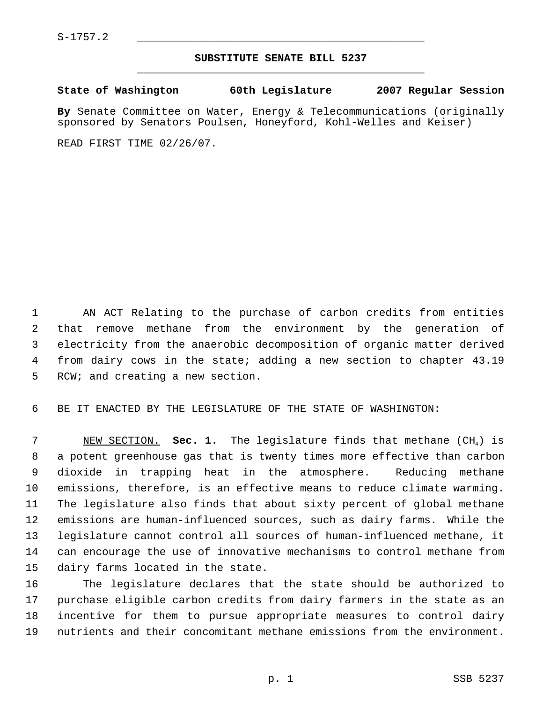$S-1757.2$ 

## **SUBSTITUTE SENATE BILL 5237** \_\_\_\_\_\_\_\_\_\_\_\_\_\_\_\_\_\_\_\_\_\_\_\_\_\_\_\_\_\_\_\_\_\_\_\_\_\_\_\_\_\_\_\_\_

**State of Washington 60th Legislature 2007 Regular Session**

**By** Senate Committee on Water, Energy & Telecommunications (originally sponsored by Senators Poulsen, Honeyford, Kohl-Welles and Keiser)

READ FIRST TIME 02/26/07.

 AN ACT Relating to the purchase of carbon credits from entities that remove methane from the environment by the generation of electricity from the anaerobic decomposition of organic matter derived from dairy cows in the state; adding a new section to chapter 43.19 RCW; and creating a new section.

BE IT ENACTED BY THE LEGISLATURE OF THE STATE OF WASHINGTON:

 NEW SECTION. **Sec. 1.** The legislature finds that methane (CH4) is a potent greenhouse gas that is twenty times more effective than carbon dioxide in trapping heat in the atmosphere. Reducing methane emissions, therefore, is an effective means to reduce climate warming. The legislature also finds that about sixty percent of global methane emissions are human-influenced sources, such as dairy farms. While the legislature cannot control all sources of human-influenced methane, it can encourage the use of innovative mechanisms to control methane from dairy farms located in the state.

 The legislature declares that the state should be authorized to purchase eligible carbon credits from dairy farmers in the state as an incentive for them to pursue appropriate measures to control dairy nutrients and their concomitant methane emissions from the environment.